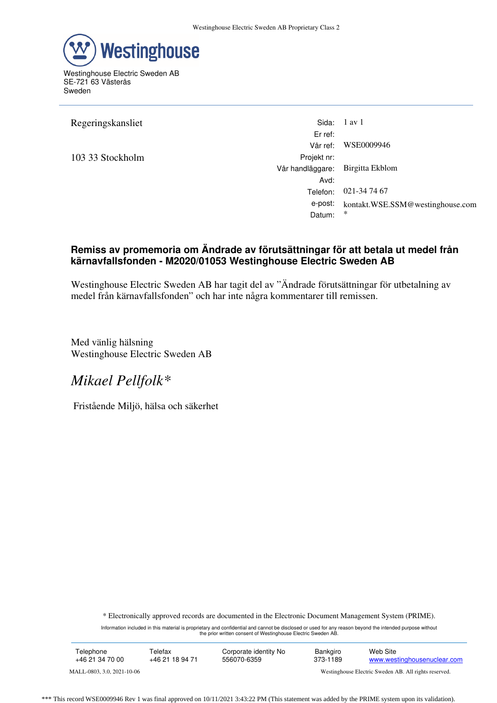

Westinghouse Electric Sweden AB SE-721 63 Västerås Sweden

103 33 Stockholm Projekt nr:

Regeringskansliet Sida: 1 av 1 Er ref: Vår ref: WSE0009946 Vår handläggare: Birgitta Ekblom Avd: Telefon: 021-34 74 67 e-post: kontakt.WSE.SSM@westinghouse.com Datum:

## **Remiss av promemoria om Ändrade av förutsättningar för att betala ut medel från kärnavfallsfonden - M2020/01053 Westinghouse Electric Sweden AB**

Westinghouse Electric Sweden AB har tagit del av "Ändrade förutsättningar för utbetalning av medel från kärnavfallsfonden" och har inte några kommentarer till remissen.

Med vänlig hälsning Westinghouse Electric Sweden AB

## *Mikael Pellfolk\**

Fristående Miljö, hälsa och säkerhet

\* Electronically approved records are documented in the Electronic Document Management System (PRIME).

Information included in this material is proprietary and confidential and cannot be disclosed or used for any reason beyond the intended purpose without the prior written consent of Westinghouse Electric Sweden AB.

| Telephone                  | Telefax         | Corporate identity No | Bankgiro                                              | Web Site                    |
|----------------------------|-----------------|-----------------------|-------------------------------------------------------|-----------------------------|
| +46 21 34 70 00            | +46 21 18 94 71 | 556070-6359           | 373-1189                                              | www.westinghousenuclear.com |
| MALL-0803, 3.0, 2021-10-06 |                 |                       | Westinghouse Electric Sweden AB. All rights reserved. |                             |

\*\*\* This record WSE0009946 Rev 1 was final approved on 10/11/2021 3:43:22 PM (This statement was added by the PRIME system upon its validation).